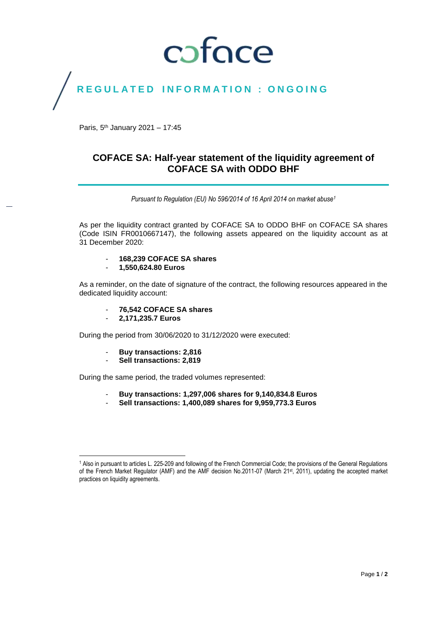# coface

## REGULATED INFORMATION : ONGOING

Paris, 5<sup>th</sup> January 2021 - 17:45

### **COFACE SA: Half-year statement of the liquidity agreement of COFACE SA with ODDO BHF**

*Pursuant to Regulation (EU) No 596/2014 of 16 April 2014 on market abuse<sup>1</sup>*

As per the liquidity contract granted by COFACE SA to ODDO BHF on COFACE SA shares (Code ISIN FR0010667147), the following assets appeared on the liquidity account as at 31 December 2020:

- **168,239 COFACE SA shares**
- **1,550,624.80 Euros**

As a reminder, on the date of signature of the contract, the following resources appeared in the dedicated liquidity account:

- **76,542 COFACE SA shares**
- **2,171,235.7 Euros**

During the period from 30/06/2020 to 31/12/2020 were executed:

- **Buy transactions: 2,816**
- **Sell transactions: 2,819**

During the same period, the traded volumes represented:

- **Buy transactions: 1,297,006 shares for 9,140,834.8 Euros**
- **Sell transactions: 1,400,089 shares for 9,959,773.3 Euros**

 $\overline{\phantom{a}}$ <sup>1</sup> Also in pursuant to articles L. 225-209 and following of the French Commercial Code; the provisions of the General Regulations of the French Market Regulator (AMF) and the AMF decision No.2011-07 (March 21st, 2011), updating the accepted market practices on liquidity agreements.